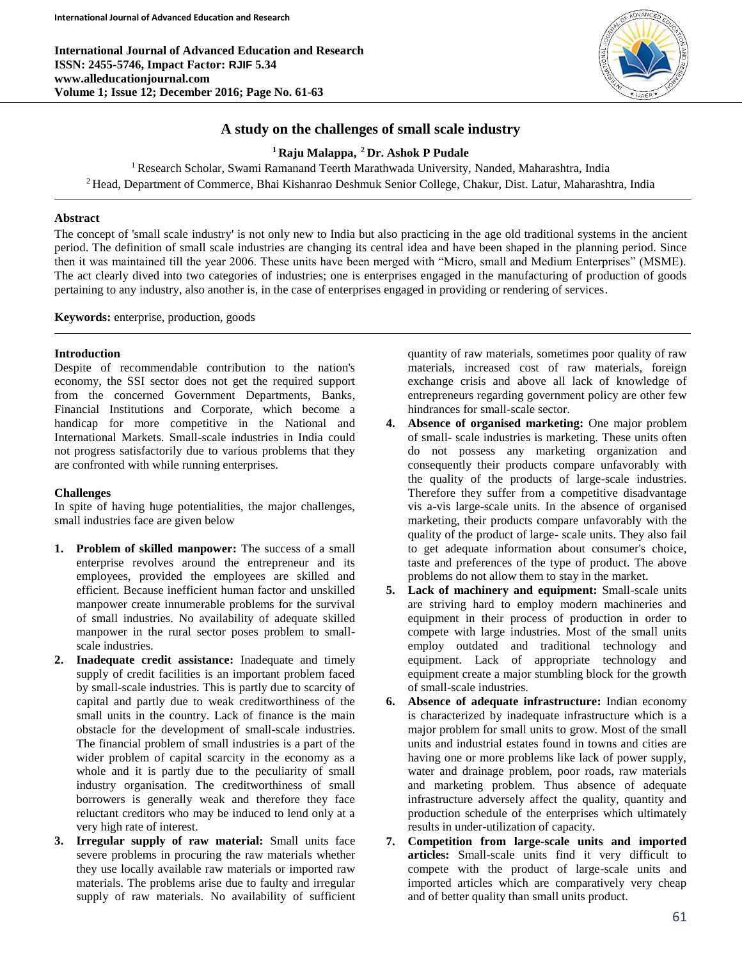**International Journal of Advanced Education and Research ISSN: 2455-5746, Impact Factor: RJIF 5.34 www.alleducationjournal.com Volume 1; Issue 12; December 2016; Page No. 61-63**



# **A study on the challenges of small scale industry**

**<sup>1</sup>Raju Malappa, <sup>2</sup>Dr. Ashok P Pudale**

<sup>1</sup> Research Scholar, Swami Ramanand Teerth Marathwada University, Nanded, Maharashtra, India <sup>2</sup> Head, Department of Commerce, Bhai Kishanrao Deshmuk Senior College, Chakur, Dist. Latur, Maharashtra, India

## **Abstract**

The concept of 'small scale industry' is not only new to India but also practicing in the age old traditional systems in the ancient period. The definition of small scale industries are changing its central idea and have been shaped in the planning period. Since then it was maintained till the year 2006. These units have been merged with "Micro, small and Medium Enterprises" (MSME). The act clearly dived into two categories of industries; one is enterprises engaged in the manufacturing of production of goods pertaining to any industry, also another is, in the case of enterprises engaged in providing or rendering of services.

**Keywords:** enterprise, production, goods

#### **Introduction**

Despite of recommendable contribution to the nation's economy, the SSI sector does not get the required support from the concerned Government Departments, Banks, Financial Institutions and Corporate, which become a handicap for more competitive in the National and International Markets. Small-scale industries in India could not progress satisfactorily due to various problems that they are confronted with while running enterprises.

### **Challenges**

In spite of having huge potentialities, the major challenges, small industries face are given below

- **1. Problem of skilled manpower:** The success of a small enterprise revolves around the entrepreneur and its employees, provided the employees are skilled and efficient. Because inefficient human factor and unskilled manpower create innumerable problems for the survival of small industries. No availability of adequate skilled manpower in the rural sector poses problem to smallscale industries.
- **2. Inadequate credit assistance:** Inadequate and timely supply of credit facilities is an important problem faced by small-scale industries. This is partly due to scarcity of capital and partly due to weak creditworthiness of the small units in the country. Lack of finance is the main obstacle for the development of small-scale industries. The financial problem of small industries is a part of the wider problem of capital scarcity in the economy as a whole and it is partly due to the peculiarity of small industry organisation. The creditworthiness of small borrowers is generally weak and therefore they face reluctant creditors who may be induced to lend only at a very high rate of interest.
- **3. Irregular supply of raw material:** Small units face severe problems in procuring the raw materials whether they use locally available raw materials or imported raw materials. The problems arise due to faulty and irregular supply of raw materials. No availability of sufficient

quantity of raw materials, sometimes poor quality of raw materials, increased cost of raw materials, foreign exchange crisis and above all lack of knowledge of entrepreneurs regarding government policy are other few hindrances for small-scale sector.

- **4. Absence of organised marketing:** One major problem of small- scale industries is marketing. These units often do not possess any marketing organization and consequently their products compare unfavorably with the quality of the products of large-scale industries. Therefore they suffer from a competitive disadvantage vis a-vis large-scale units. In the absence of organised marketing, their products compare unfavorably with the quality of the product of large- scale units. They also fail to get adequate information about consumer's choice, taste and preferences of the type of product. The above problems do not allow them to stay in the market.
- **5. Lack of machinery and equipment:** Small-scale units are striving hard to employ modern machineries and equipment in their process of production in order to compete with large industries. Most of the small units employ outdated and traditional technology and equipment. Lack of appropriate technology and equipment create a major stumbling block for the growth of small-scale industries.
- **6. Absence of adequate infrastructure:** Indian economy is characterized by inadequate infrastructure which is a major problem for small units to grow. Most of the small units and industrial estates found in towns and cities are having one or more problems like lack of power supply, water and drainage problem, poor roads, raw materials and marketing problem. Thus absence of adequate infrastructure adversely affect the quality, quantity and production schedule of the enterprises which ultimately results in under-utilization of capacity.
- **7. Competition from large-scale units and imported articles:** Small-scale units find it very difficult to compete with the product of large-scale units and imported articles which are comparatively very cheap and of better quality than small units product.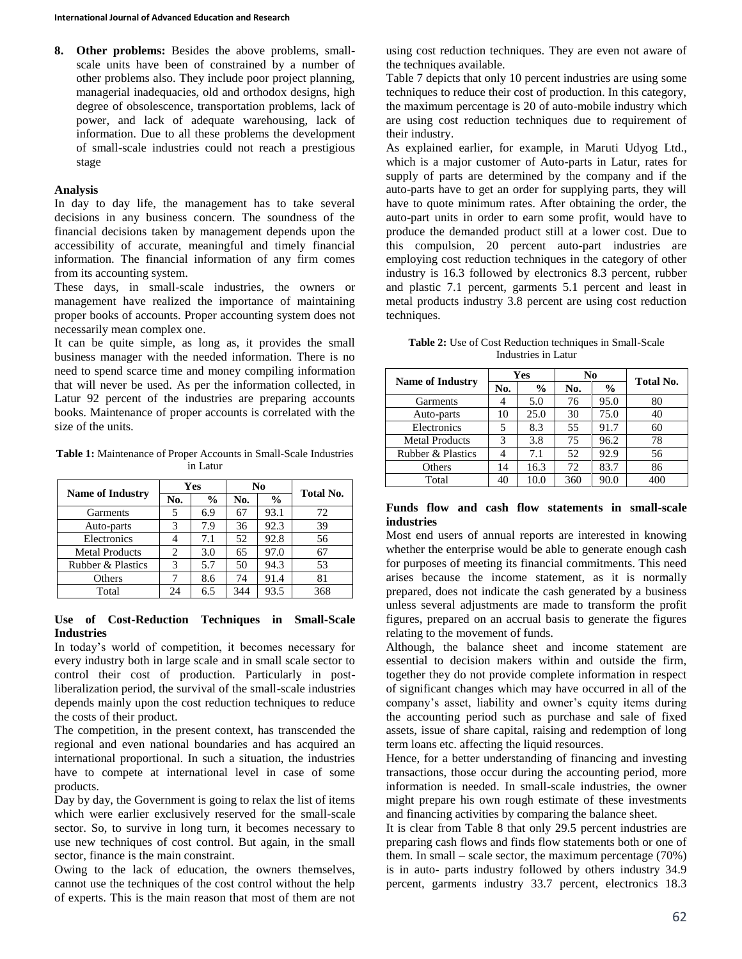**8. Other problems:** Besides the above problems, smallscale units have been of constrained by a number of other problems also. They include poor project planning, managerial inadequacies, old and orthodox designs, high degree of obsolescence, transportation problems, lack of power, and lack of adequate warehousing, lack of information. Due to all these problems the development of small-scale industries could not reach a prestigious stage

### **Analysis**

In day to day life, the management has to take several decisions in any business concern. The soundness of the financial decisions taken by management depends upon the accessibility of accurate, meaningful and timely financial information. The financial information of any firm comes from its accounting system.

These days, in small-scale industries, the owners or management have realized the importance of maintaining proper books of accounts. Proper accounting system does not necessarily mean complex one.

It can be quite simple, as long as, it provides the small business manager with the needed information. There is no need to spend scarce time and money compiling information that will never be used. As per the information collected, in Latur 92 percent of the industries are preparing accounts books. Maintenance of proper accounts is correlated with the size of the units.

**Table 1:** Maintenance of Proper Accounts in Small-Scale Industries in Latur

| <b>Name of Industry</b> | Yes |               | N <sub>0</sub> |               | <b>Total No.</b> |
|-------------------------|-----|---------------|----------------|---------------|------------------|
|                         | No. | $\frac{6}{6}$ | No.            | $\frac{6}{6}$ |                  |
| Garments                | 5   | 6.9           | 67             | 93.1          | 72               |
| Auto-parts              | 3   | 7.9           | 36             | 92.3          | 39               |
| Electronics             |     | 7.1           | 52             | 92.8          | 56               |
| <b>Metal Products</b>   | 2   | 3.0           | 65             | 97.0          | 67               |
| Rubber & Plastics       | 3   | 5.7           | 50             | 94.3          | 53               |
| Others                  | 7   | 8.6           | 74             | 91.4          | 81               |
| Total                   | 24  | 6.5           | 344            | 93.5          | 368              |

### **Use of Cost-Reduction Techniques in Small-Scale Industries**

In today's world of competition, it becomes necessary for every industry both in large scale and in small scale sector to control their cost of production. Particularly in postliberalization period, the survival of the small-scale industries depends mainly upon the cost reduction techniques to reduce the costs of their product.

The competition, in the present context, has transcended the regional and even national boundaries and has acquired an international proportional. In such a situation, the industries have to compete at international level in case of some products.

Day by day, the Government is going to relax the list of items which were earlier exclusively reserved for the small-scale sector. So, to survive in long turn, it becomes necessary to use new techniques of cost control. But again, in the small sector, finance is the main constraint.

Owing to the lack of education, the owners themselves, cannot use the techniques of the cost control without the help of experts. This is the main reason that most of them are not using cost reduction techniques. They are even not aware of the techniques available.

Table 7 depicts that only 10 percent industries are using some techniques to reduce their cost of production. In this category, the maximum percentage is 20 of auto-mobile industry which are using cost reduction techniques due to requirement of their industry.

As explained earlier, for example, in Maruti Udyog Ltd., which is a major customer of Auto-parts in Latur, rates for supply of parts are determined by the company and if the auto-parts have to get an order for supplying parts, they will have to quote minimum rates. After obtaining the order, the auto-part units in order to earn some profit, would have to produce the demanded product still at a lower cost. Due to this compulsion, 20 percent auto-part industries are employing cost reduction techniques in the category of other industry is 16.3 followed by electronics 8.3 percent, rubber and plastic 7.1 percent, garments 5.1 percent and least in metal products industry 3.8 percent are using cost reduction techniques.

**Table 2:** Use of Cost Reduction techniques in Small-Scale Industries in Latur

| <b>Name of Industry</b> | Yes |               | N <sub>0</sub> |               |           |
|-------------------------|-----|---------------|----------------|---------------|-----------|
|                         | No. | $\frac{6}{9}$ | No.            | $\frac{6}{6}$ | Total No. |
| Garments                |     | 5.0           | 76             | 95.0          | 80        |
| Auto-parts              | 10  | 25.0          | 30             | 75.0          | 40        |
| Electronics             | 5   | 8.3           | 55             | 91.7          | 60        |
| <b>Metal Products</b>   | 3   | 3.8           | 75             | 96.2          | 78        |
| Rubber & Plastics       |     | 7.1           | 52             | 92.9          | 56        |
| Others                  | 14  | 16.3          | 72             | 83.7          | 86        |
| Total                   | 40  | 10.0          | 360            | 90.0          | 400       |

#### **Funds flow and cash flow statements in small-scale industries**

Most end users of annual reports are interested in knowing whether the enterprise would be able to generate enough cash for purposes of meeting its financial commitments. This need arises because the income statement, as it is normally prepared, does not indicate the cash generated by a business unless several adjustments are made to transform the profit figures, prepared on an accrual basis to generate the figures relating to the movement of funds.

Although, the balance sheet and income statement are essential to decision makers within and outside the firm, together they do not provide complete information in respect of significant changes which may have occurred in all of the company's asset, liability and owner's equity items during the accounting period such as purchase and sale of fixed assets, issue of share capital, raising and redemption of long term loans etc. affecting the liquid resources.

Hence, for a better understanding of financing and investing transactions, those occur during the accounting period, more information is needed. In small-scale industries, the owner might prepare his own rough estimate of these investments and financing activities by comparing the balance sheet.

It is clear from Table 8 that only 29.5 percent industries are preparing cash flows and finds flow statements both or one of them. In small – scale sector, the maximum percentage (70%) is in auto- parts industry followed by others industry 34.9 percent, garments industry 33.7 percent, electronics 18.3